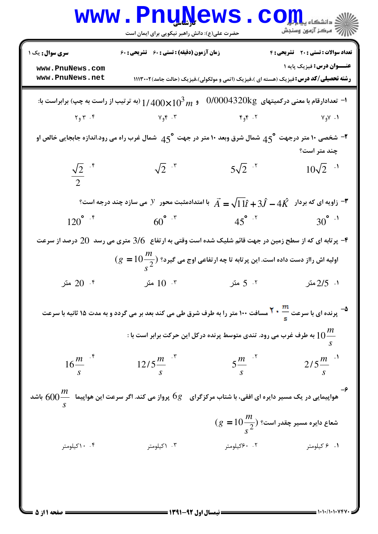|                                                                                                             | www.PnuNews<br>حضرت علی(ع): دانش راهبر نیکویی برای ایمان است                                                                                  |                                            | $\mathbf{C}\mathbf{O}$ $\mathbf{L}\mathbf{L}$ $\mathbf{L}$ $\mathbf{L}\mathbf{L}$<br>أأآت مركز آزمون وسنجش                       |  |  |  |  |  |
|-------------------------------------------------------------------------------------------------------------|-----------------------------------------------------------------------------------------------------------------------------------------------|--------------------------------------------|----------------------------------------------------------------------------------------------------------------------------------|--|--|--|--|--|
| <b>سری سوال :</b> یک ۱                                                                                      | زمان آزمون (دقیقه) : تستی : 60 ٪ تشریحی : 60                                                                                                  | <b>تعداد سوالات : تستی : 20 تشریحی : 4</b> |                                                                                                                                  |  |  |  |  |  |
| www.PnuNews.com<br>www.PnuNews.net                                                                          |                                                                                                                                               |                                            | <b>عنـــوان درس:</b> فيزيک پايه ۱<br><b>رشته تحصیلی/کد درس:</b> فیزیک (هسته ای )،فیزیک (اتمی و مولکولی)،فیزیک (حالت جامد)۱۱۱۳۰۰۲ |  |  |  |  |  |
| $0/0004320$ kg ا– تعدادارقام با معنی درکمیتهای<br>و $1/400\times10^3$ (به ترتیب از راست به چپ) برابراست با: |                                                                                                                                               |                                            |                                                                                                                                  |  |  |  |  |  |
|                                                                                                             | $Y_9Y \cdot Y$ و ۲۰۴                                                                                                                          |                                            | $Y_9Y$ . The state of $Y_9Y$                                                                                                     |  |  |  |  |  |
|                                                                                                             | شخصی ۱۰ متر درجهت $45^{\circ}$ شمال شرق وبعد ۱۰ متر در جهت $45^{\circ}$ شمال غرب راه می رود.اندازه جابجایی خالص او $^{\bullet}$               |                                            | چند متر است؟                                                                                                                     |  |  |  |  |  |
| $\frac{\sqrt{2}}{2}$ if                                                                                     | $\sqrt{2}$ $\cdot$ $\cdot$                                                                                                                    | $5\sqrt{2}$ .                              | $10\sqrt{2}$ ·                                                                                                                   |  |  |  |  |  |
|                                                                                                             | زاویه ای که بردار $4\hat{K} - 4\hat{K} = \sqrt{11}\hat{\ell} + 3\hat{J} - 4\hat{K}$ با امتدادمثبت محور $V$ می سازد چند درجه است؟ $^{\bullet}$ |                                            |                                                                                                                                  |  |  |  |  |  |
| $120^{\circ}$ if                                                                                            | $60^{\circ}$ $\cdot$ $\cdot$                                                                                                                  |                                            | $45^{\circ}$ $15^{\circ}$ $30^{\circ}$ $1$                                                                                       |  |  |  |  |  |
|                                                                                                             | بر تابه ای که از سطح زمین در جهت قائم شلیک شده است وقتی به ارتفاع $\,3/6\,$ متری می رسد $\,20\,$ درصد از سرعت $\,$                            |                                            |                                                                                                                                  |  |  |  |  |  |
|                                                                                                             | $\epsilon(g=10\frac{m}{\epsilon^2})$ اولیه اش رااز دست داده است. این پر تابه تا چه ار تفاعی اوج می گیرد؟                                      |                                            |                                                                                                                                  |  |  |  |  |  |
| 0°. 20° متر                                                                                                 | ۰۳ $10$ متر                                                                                                                                   | ۲. 5 متر                                   | ۰۱ 2/5متر                                                                                                                        |  |  |  |  |  |
|                                                                                                             | <sup>هـ</sup> پرنده ای با سرعت <mark>**</mark> * <sup>7</sup> مسافت ١٠٠ متر را به طرف شرق طی می کند بعد بر می گردد و به مدت ۱۵ ثانیه با سرعت  |                                            |                                                                                                                                  |  |  |  |  |  |
|                                                                                                             | : به طرف غرب می رود. تندی متوسط پرنده درکل این حرکت برابر است با $10\frac{m}{\phantom{a}}$                                                    |                                            |                                                                                                                                  |  |  |  |  |  |
| $16\frac{m}{s}$                                                                                             | $12/5 \frac{m}{s}$                                                                                                                            | $5\frac{m}{s}$ <sup>5</sup>                | $2/5 \frac{m}{s}$ <sup>1</sup>                                                                                                   |  |  |  |  |  |
|                                                                                                             | هواپیمایی در یک مسیر دایره ای افقی، با شتاب مرکزگرای $\, \, 6g \,$ پرواز می کند. اگر سرعت این هواپیما $\, \frac{m}{s} \,$ باشد $\,$           |                                            |                                                                                                                                  |  |  |  |  |  |
|                                                                                                             |                                                                                                                                               |                                            | $\epsilon(g=10\frac{m}{s^2})$ شعاع دایره مسیر چقدر است؟                                                                          |  |  |  |  |  |
| ۰.۴ ماکیلومتر                                                                                               | ۰۳ \کیلومتر                                                                                                                                   | ۰.۲ ۶۰کیلومتر                              | ۰۱ ۶ کیلومتر                                                                                                                     |  |  |  |  |  |
|                                                                                                             |                                                                                                                                               |                                            |                                                                                                                                  |  |  |  |  |  |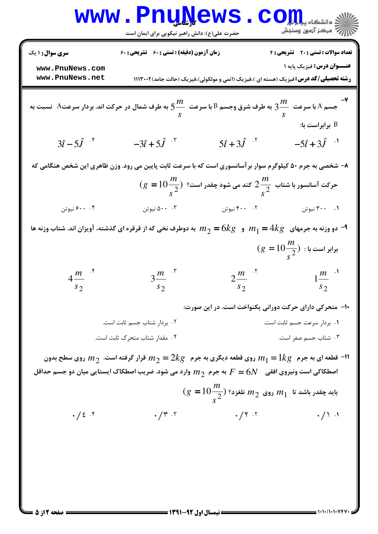**[www.PnuNews.com](http://pnunews.com)** كارشناسي :( ) - ! \$ '&: '&: ( %&: : : تعداد سوالات : تستي تشريحي زمان آزمون (دقيقه) : تستي تشريحي سري سوال : عنــوان درس \$ !"# **[www.PnuNews.com](http://pnunews.com) [www.PnuNews.net](http://www.PnuNews.net)**\$\$\$3&&%(1.2 
,) !"#,(,-,. / 0) !"#,( )\*) !"# : رشته تحصيلي/كد درس <sup>5</sup> 
 B O\*2/ BA YX *<sup>m</sup> m* - 7 
\* A
 .1 
5 CA YX 3 
 A O\*2 *s s* : 
 B ˆ 3 5 <sup>ι</sup>ˆ − *J* . . . . \$ ˆ − + 3 5 <sup>ι</sup>ˆ *J* ˆ 5 3 <sup>ι</sup>ˆ + *J* ˆ − + 5 3 <sup>ι</sup>ˆ *J* 5 .f6 G@A Q g </ ./ . Q 
[ 
 5 
 \*e 8V-5 Z& 82 ?@A - 8 *m m* ( 10 ) *g* = 2 J
 1`; A . 165 <sup>2</sup> E)A \*e 
5 <sup>2</sup> *s s* . . . . \$ </ E)A .1 "/e \_)AhV D99 < 5 @ YX/ *m kg* = 6 / *m kg* = 4 <sup>2</sup> 4.2 </ / 1 - 9 *m* = ( 10 ) *g* : 
 <sup>2</sup> *s* . . . . \$ *m m m m* 4 2 1 3 *s s* <sup>2</sup> *s* <sup>2</sup> *s* <sup>2</sup> 2 :T Q .

H6 / 
5 5K). - 10 . . \$ . " # ! . ! . . . & ' " # () . \$% " # .
 )#V 9 *m kg* = 2 *m*<sup>2</sup> 82 f 7S9 / *m kg* =1 <sup>2</sup> /1 RS / 82 7S9 1 - 11 82 *F N* = 6 `# // 
 5ST *m*<sup>2</sup> \91 O\*2 / . )\* iST =j .A . / *m* ( 10 ) *g* = / *m*<sup>2</sup> 0 1A 1`; 1 *m*<sup>1</sup> <sup>2</sup> J"k*s* \$ . . . .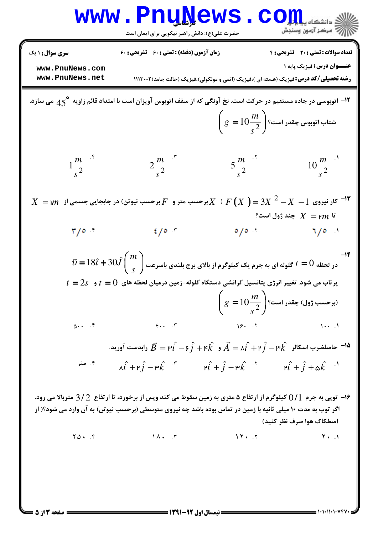|                                                                                                                                                                           | <b>WWW.FNUWEWS</b><br>حضرت علی(ع): دانش راهبر نیکویی برای ایمان است                                                                                                                                                                                                                                                                                                                                                                                                                                                                                                                                   | ک دانشگاه پی <mark>ای</mark> ا<br>ج ' مرڪز آزمون وسنڊش                                                                                                                                                                                                                                                                                                      |  |  |  |  |  |  |
|---------------------------------------------------------------------------------------------------------------------------------------------------------------------------|-------------------------------------------------------------------------------------------------------------------------------------------------------------------------------------------------------------------------------------------------------------------------------------------------------------------------------------------------------------------------------------------------------------------------------------------------------------------------------------------------------------------------------------------------------------------------------------------------------|-------------------------------------------------------------------------------------------------------------------------------------------------------------------------------------------------------------------------------------------------------------------------------------------------------------------------------------------------------------|--|--|--|--|--|--|
| <b>سری سوال : ۱ یک</b><br>www.PnuNews.com<br>www.PnuNews.net                                                                                                              | زمان آزمون (دقیقه) : تستی : ۶۰٪ تشریحی : ۶۰                                                                                                                                                                                                                                                                                                                                                                                                                                                                                                                                                           | <b>تعداد سوالات : تستی : 20 - تشریحی : 4</b><br><b>عنـــوان درس:</b> فيزيک پايه ۱<br><b>رشته تحصیلی/کد درس:</b> فیزیک (هسته ای )،فیزیک (اتمی و مولکولی)،فیزیک (حالت جامد)۱۱۱۳۰۰۲                                                                                                                                                                            |  |  |  |  |  |  |
| ۱۲- اتوبوسی در جاده مستقیم در حرکت است. نخ آونگی که از سقف اتوبوس آویزان است با امتداد قائم زاویه °45  می سازد.<br>$\left(g=10\frac{m}{s^2}\right)$ شتاب اتوبوس چقدر است؟ |                                                                                                                                                                                                                                                                                                                                                                                                                                                                                                                                                                                                       |                                                                                                                                                                                                                                                                                                                                                             |  |  |  |  |  |  |
| $\frac{m}{s^2}$ .*                                                                                                                                                        | $2\frac{m}{s^2}$ . <sup>r</sup>                                                                                                                                                                                                                                                                                                                                                                                                                                                                                                                                                                       | $10 \frac{m}{s^2}$ <sup>1</sup><br>$5\frac{m}{s^2}$ $\cdot$ <sup>5</sup>                                                                                                                                                                                                                                                                                    |  |  |  |  |  |  |
|                                                                                                                                                                           | $X~=$ ال نیروی $X-A$ $X^2-A$ $X^3$ $Y$ $Y$ $X \rightarrow X^4$ برحسب متر و $F$ برحسب نیوتن) در جابجایی جسمی از $^{-17}$                                                                                                                                                                                                                                                                                                                                                                                                                                                                               | تا $\eta$ ام $X \, = \,$ چند ژول است؟                                                                                                                                                                                                                                                                                                                       |  |  |  |  |  |  |
| $\mathbf{y}/\mathbf{z}$                                                                                                                                                   | $\frac{2}{3}$ $\frac{1}{2}$<br>$\vec{v} = 18\hat{t} + 30\hat{J} \bigg(\frac{m}{s}\bigg)$ در لحظه $t=0$ گلوله ای به جرم یک کیلوگرم از بالای برج بلندی باسرعت                                                                                                                                                                                                                                                                                                                                                                                                                                           | $\mathfrak{a}/\mathfrak{a}$ if $\mathfrak{a}/\mathfrak{a}$ if $\mathfrak{a}/\mathfrak{a}$ if $\mathfrak{a}/\mathfrak{a}$ if $\mathfrak{a}/\mathfrak{a}$ if $\mathfrak{a}/\mathfrak{a}$ if $\mathfrak{a}/\mathfrak{a}$ if $\mathfrak{a}/\mathfrak{a}$ if $\mathfrak{a}/\mathfrak{a}$ if $\mathfrak{a}/\mathfrak{a}$ if $\mathfrak{a}/\mathfrak{a}$ if<br>-14 |  |  |  |  |  |  |
|                                                                                                                                                                           | $t\,=2$ پر تاب می شود. تغییر انرژی پتانسیل گرانشی دستگاه گلوله-زمین درمیان لحظه های $t\,=0$ و $t\,$                                                                                                                                                                                                                                                                                                                                                                                                                                                                                                   | $\left(g=10\frac{m}{s^2}\right)$ برحسب ژول) چقدر است؟                                                                                                                                                                                                                                                                                                       |  |  |  |  |  |  |
|                                                                                                                                                                           | $\Delta \cdot \cdot \cdot$ $\cdot$ $\uparrow$ $\cdot \cdot$ $\cdot$ $\uparrow$ $\uparrow$ $\uparrow$ $\uparrow$ $\uparrow$ $\uparrow$ $\uparrow$ $\uparrow$ $\uparrow$ $\uparrow$ $\uparrow$ $\uparrow$ $\uparrow$ $\uparrow$ $\uparrow$ $\uparrow$ $\uparrow$ $\uparrow$ $\uparrow$ $\uparrow$ $\uparrow$ $\uparrow$ $\uparrow$ $\uparrow$ $\uparrow$ $\uparrow$ $\uparrow$ $\uparrow$ $\uparrow$ $\uparrow$ $\uparrow$<br>وابدست آورید. $\vec{A}=\mu\hat{i}\, -\mathfrak{s}\, \hat{j}+\mathfrak{r}\, \hat{k}$ و $\vec{A}=\hat{i}\, +\mathfrak{r}\, \hat{j}\, -\mathfrak{r}\, \hat{k}$ رابدست آورید. |                                                                                                                                                                                                                                                                                                                                                             |  |  |  |  |  |  |
| ۰۴ صفر                                                                                                                                                                    | $\hat{\lambda i} + \hat{r} j - \hat{r} k$ <sup>T</sup> $\hat{r} i + j - \hat{r} k$ <sup>T</sup> $\hat{r} i + j + \hat{s} k$ <sup>T</sup>                                                                                                                                                                                                                                                                                                                                                                                                                                                              |                                                                                                                                                                                                                                                                                                                                                             |  |  |  |  |  |  |
|                                                                                                                                                                           | ۱۶– توپی به جرم 1/() کیلوگرم از ارتفاع ۵ متری به زمین سقوط می کند وپس از برخورد، تا ارتفاع 3/2 متربالا می رود.<br>اگر توپ به مدت ۱۰ میلی ثانیه با زمین در تماس بوده باشد چه نیروی متوسطی (برحسب نیوتن) به آن وارد می شود؟( از                                                                                                                                                                                                                                                                                                                                                                         | اصطكاك هوا صرف نظر كنيد)                                                                                                                                                                                                                                                                                                                                    |  |  |  |  |  |  |
|                                                                                                                                                                           |                                                                                                                                                                                                                                                                                                                                                                                                                                                                                                                                                                                                       |                                                                                                                                                                                                                                                                                                                                                             |  |  |  |  |  |  |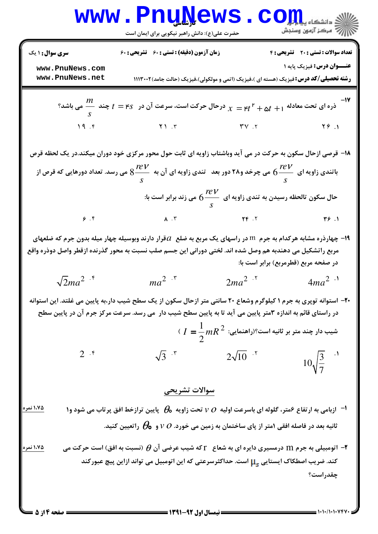$$
\frac{W}{\sqrt{2ma^{2}} + 1}
$$
\n
$$
\frac{W}{\sqrt{2ma^{2} + 1}}
$$
\n
$$
\frac{W}{\sqrt{2ma^{2} + 1}}
$$
\n
$$
\frac{W}{\sqrt{2ma^{2} + 1}}
$$
\n
$$
\frac{W}{\sqrt{2ma^{2} + 1}}
$$
\n
$$
\frac{W}{\sqrt{2ma^{2} + 1}}
$$
\n
$$
\frac{W}{\sqrt{2ma^{2} + 1}}
$$
\n
$$
\frac{W}{\sqrt{2ma^{2} + 1}}
$$
\n
$$
\frac{W}{\sqrt{2ma^{2} + 1}}
$$
\n
$$
\frac{W}{\sqrt{2ma^{2} + 1}}
$$
\n
$$
\frac{W}{\sqrt{2ma^{2} + 1}}
$$
\n
$$
\frac{W}{\sqrt{2ma^{2} + 1}}
$$
\n
$$
\frac{W}{\sqrt{2ma^{2} + 1}}
$$
\n
$$
\frac{W}{\sqrt{2ma^{2} + 1}}
$$
\n
$$
\frac{W}{\sqrt{2ma^{2} + 1}}
$$
\n
$$
\frac{W}{\sqrt{2ma^{2} + 1}}
$$
\n
$$
\frac{W}{\sqrt{2ma^{2} + 1}}
$$
\n
$$
\frac{W}{\sqrt{2ma^{2} + 1}}
$$
\n
$$
\frac{W}{\sqrt{2ma^{2} + 1}}
$$
\n
$$
\frac{W}{\sqrt{2ma^{2} + 1}}
$$
\n
$$
\frac{W}{\sqrt{2ma^{2} + 1}}
$$
\n
$$
\frac{W}{\sqrt{2ma^{2} + 1}}
$$
\n
$$
\frac{W}{\sqrt{2ma^{2} + 1}}
$$
\n
$$
\frac{W}{\sqrt{2ma^{2} + 1}}
$$
\n
$$
\frac{W}{\sqrt{2ma^{2} + 1}}
$$
\n
$$
\frac{W}{\sqrt{2ma^{2} + 1}}
$$
\n
$$
\frac{W}{\sqrt{2ma^{2} + 1}}
$$
\n
$$
\frac{W}{\sqrt{2ma^{2} + 1}}
$$
\n
$$
\frac{W}{\sqrt{2ma^{2} + 1}}
$$
\n
$$
\frac{W}{\sqrt{2ma^{2} + 1}}
$$
\n
$$
\frac{W}{\sqrt{
$$

 $1 - 1 - 11 - 1 - 11$